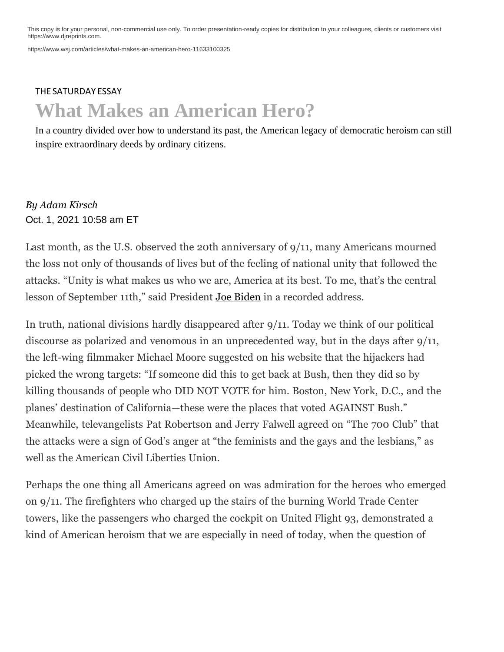This copy is for your personal, non-commercial use only. To order presentation-ready copies for distribution to your colleagues, clients or customers visit [https://www.djreprints.com.](http://www.djreprints.com/)

[https://www.wsj.com/articles/what-makes-an-american-hero-11633100325](http://www.wsj.com/articles/what-makes-an-american-hero-11633100325)

## THE [SATURDAY](https://www.wsj.com/news/types/the-saturday-essay?mod=bigtop-breadcrumb) ESSAY **What Makes an American Hero?**

In a country divided over how to understand its past, the American legacy of democratic heroism can still inspire extraordinary deeds by ordinary citizens.

### *By Adam Kirsch* Oct. 1, 2021 10:58 am ET

Last month, as the U.S. observed the 20th anniversary of 9/11, many Americans mourned the loss not only of thousands of lives but of the feeling of national unity that followed the attacks. "Unity is what makes us who we are, America at its best. To me, that's the central lesson of September 11th," said President Joe [Biden](https://www.wsj.com/topics/person/joe-biden) in a recorded address.

In truth, national divisions hardly disappeared after 9/11. Today we think of our political discourse as polarized and venomous in an unprecedented way, but in the days after 9/11, the left-wing filmmaker Michael Moore suggested on his website that the hijackers had picked the wrong targets: "If someone did this to get back at Bush, then they did so by killing thousands of people who DID NOT VOTE for him. Boston, New York, D.C., and the planes' destination of California—these were the places that voted AGAINST Bush." Meanwhile, televangelists Pat Robertson and Jerry Falwell agreed on "The 700 Club" that the attacks were a sign of God's anger at "the feminists and the gays and the lesbians," as well as the American Civil Liberties Union.

Perhaps the one thing all Americans agreed on was admiration for the heroes who emerged on 9/11. The firefighters who charged up the stairs of the burning World Trade Center towers, like the passengers who charged the cockpit on United Flight 93, demonstrated a kind of American heroism that we are especially in need of today, when the question of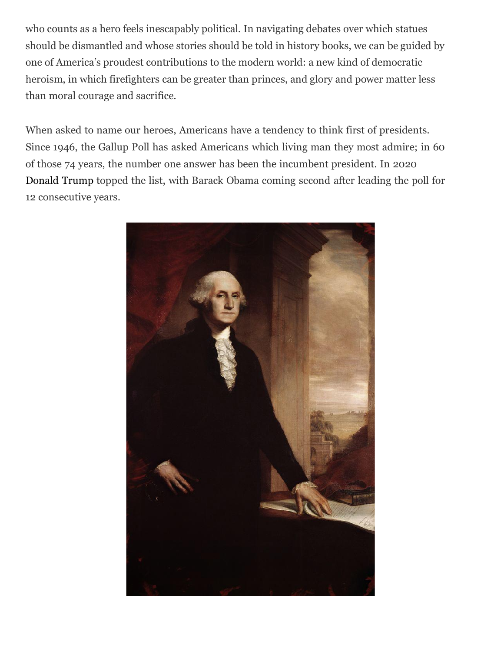who counts as a hero feels inescapably political. In navigating debates over which statues should be dismantled and whose stories should be told in history books, we can be guided by one of America's proudest contributions to the modern world: a new kind of democratic heroism, in which firefighters can be greater than princes, and glory and power matter less than moral courage and sacrifice.

When asked to name our heroes, Americans have a tendency to think first of presidents. Since 1946, the Gallup Poll has asked Americans which living man they most admire; in 60 of those 74 years, the number one answer has been the incumbent president. In 2020 [Donald](https://www.wsj.com/topics/person/donald-trump) Trump topped the list, with Barack Obama coming second after leading the poll for 12 consecutive years.

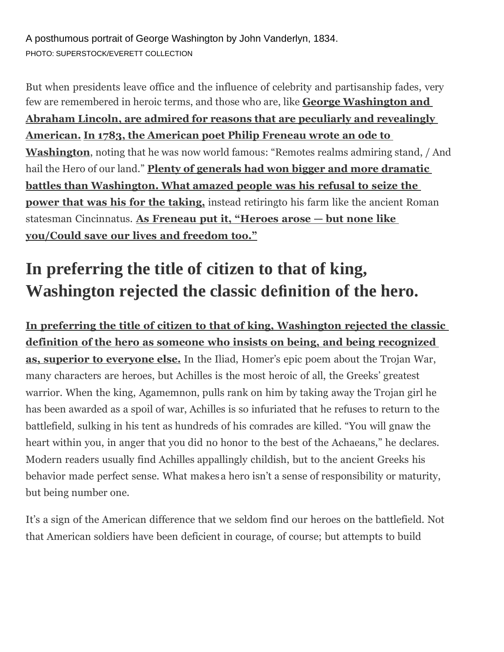A posthumous portrait of George Washington by John Vanderlyn, 1834. PHOTO: SUPERSTOCK/EVERETT COLLECTION

But when presidents leave office and the influence of celebrity and partisanship fades, very few are remembered in heroic terms, and those who are, like **George Washington and Abraham Lincoln, are admired for reasons that are peculiarly and revealingly American. In 1783, the American poet Philip Freneau wrote an ode to Washington**, noting that he was now world famous: "Remotes realms admiring stand, / And hail the Hero of our land." **Plenty of generals had won bigger and more dramatic battles than Washington. What amazed people was his refusal to seize the power that was his for the taking,** instead retiringto his farm like the ancient Roman statesman Cincinnatus. **As Freneau put it, "Heroes arose — but none like you/Could save our lives and freedom too."**

# **In preferring the title of citizen to that of king, Washington rejected the classic definition of the hero.**

**In preferring the title of citizen to that of king, Washington rejected the classic definition of the hero as someone who insists on being, and being recognized as, superior to everyone else.** In the Iliad, Homer's epic poem about the Trojan War, many characters are heroes, but Achilles is the most heroic of all, the Greeks' greatest warrior. When the king, Agamemnon, pulls rank on him by taking away the Trojan girl he has been awarded as a spoil of war, Achilles is so infuriated that he refuses to return to the battlefield, sulking in his tent as hundreds of his comrades are killed. "You will gnaw the heart within you, in anger that you did no honor to the best of the Achaeans," he declares. Modern readers usually find Achilles appallingly childish, but to the ancient Greeks his behavior made perfect sense. What makes a hero isn't a sense of responsibility or maturity, but being number one.

It's a sign of the American difference that we seldom find our heroes on the battlefield. Not that American soldiers have been deficient in courage, of course; but attempts to build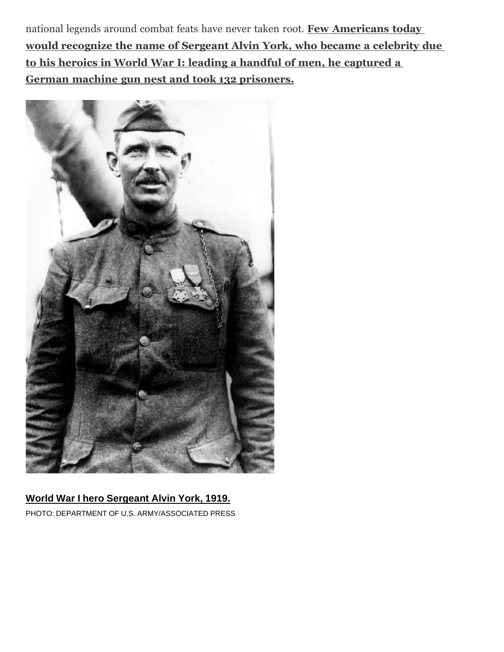national legends around combat feats have never taken root. **Few Americans today would recognize the name of Sergeant Alvin York, who became a celebrity due to his heroics in World War I: leading a handful of men, he captured a German machine gun nest and took 132 prisoners.**



#### **World War I hero Sergeant Alvin York, 1919.** PHOTO: DEPARTMENT OF U.S. ARMY/ASSOCIATED PRESS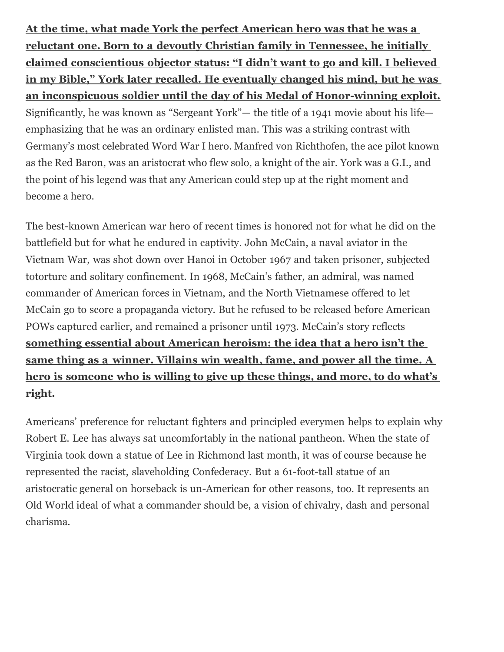**At the time, what made York the perfect American hero was that he was a reluctant one. Born to a devoutly Christian family in Tennessee, he initially claimed conscientious objector status: "I didn't want to go and kill. I believed in my Bible," York later recalled. He eventually changed his mind, but he was an inconspicuous soldier until the day of his Medal of Honor-winning exploit.** Significantly, he was known as "Sergeant York"— the title of a 1941 movie about his life emphasizing that he was an ordinary enlisted man. This was a striking contrast with Germany's most celebrated Word War I hero. Manfred von Richthofen, the ace pilot known as the Red Baron, was an aristocrat who flew solo, a knight of the air. York was a G.I., and the point of his legend was that any American could step up at the right moment and become a hero.

The best-known American war hero of recent times is honored not for what he did on the battlefield but for what he endured in captivity. John McCain, a naval aviator in the Vietnam War, was shot down over Hanoi in October 1967 and taken prisoner, subjected totorture and solitary confinement. In 1968, McCain's father, an admiral, was named commander of American forces in Vietnam, and the North Vietnamese offered to let McCain go to score a propaganda victory. But he refused to be released before American POWs captured earlier, and remained a prisoner until 1973. McCain's story reflects **something essential about American heroism: the idea that a hero isn't the same thing as a winner. Villains win wealth, fame, and power all the time. A hero is someone who is willing to give up these things, and more, to do what's right.**

Americans' preference for reluctant fighters and principled everymen helps to explain why Robert E. Lee has always sat uncomfortably in the national pantheon. When the state of Virginia took down a statue of Lee in Richmond last month, it was of course because he represented the racist, slaveholding Confederacy. But a 61-foot-tall statue of an aristocratic general on horseback is un-American for other reasons, too. It represents an Old World ideal of what a commander should be, a vision of chivalry, dash and personal charisma.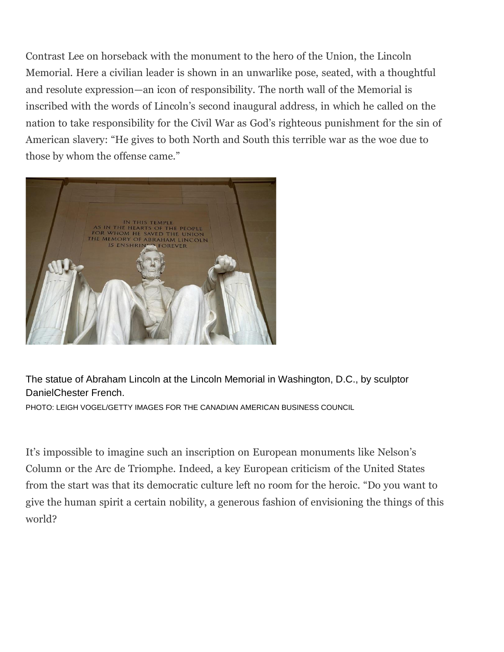Contrast Lee on horseback with the monument to the hero of the Union, the Lincoln Memorial. Here a civilian leader is shown in an unwarlike pose, seated, with a thoughtful and resolute expression—an icon of responsibility. The north wall of the Memorial is inscribed with the words of Lincoln's second inaugural address, in which he called on the nation to take responsibility for the Civil War as God's righteous punishment for the sin of American slavery: "He gives to both North and South this terrible war as the woe due to those by whom the offense came."



The statue of Abraham Lincoln at the Lincoln Memorial in Washington, D.C., by sculptor DanielChester French.

PHOTO: LEIGH VOGEL/GETTY IMAGES FOR THE CANADIAN AMERICAN BUSINESS COUNCIL

It's impossible to imagine such an inscription on European monuments like Nelson's Column or the Arc de Triomphe. Indeed, a key European criticism of the United States from the start was that its democratic culture left no room for the heroic. "Do you want to give the human spirit a certain nobility, a generous fashion of envisioning the things of this world?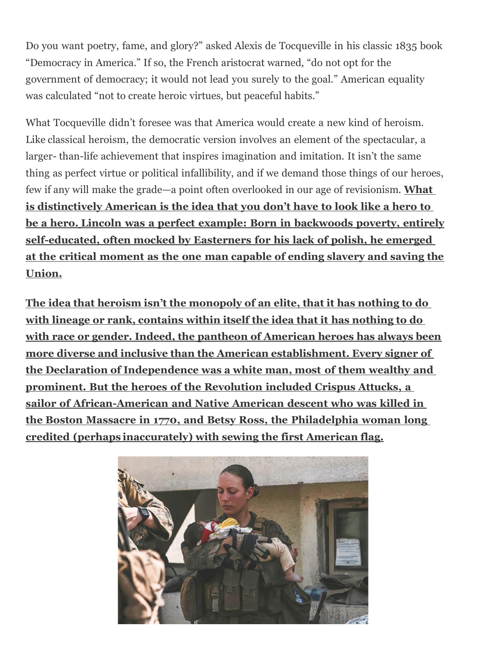Do you want poetry, fame, and glory?" asked Alexis de Tocqueville in his classic 1835 book "Democracy in America." If so, the French aristocrat warned, "do not opt for the government of democracy; it would not lead you surely to the goal." American equality was calculated "not to create heroic virtues, but peaceful habits."

What Tocqueville didn't foresee was that America would create a new kind of heroism. Like classical heroism, the democratic version involves an element of the spectacular, a larger- than-life achievement that inspires imagination and imitation. It isn't the same thing as perfect virtue or political infallibility, and if we demand those things of our heroes, few if any will make the grade—a point often overlooked in our age of revisionism. **What is distinctively American is the idea that you don't have to look like a hero to be a hero. Lincoln was a perfect example: Born in backwoods poverty, entirely self-educated, often mocked by Easterners for his lack of polish, he emerged at the critical moment as the one man capable of ending slavery and saving the Union.**

**The idea that heroism isn't the monopoly of an elite, that it has nothing to do with lineage or rank, contains within itself the idea that it has nothing to do with race or gender. Indeed, the pantheon of American heroes has always been more diverse and inclusive than the American establishment. Every signer of the Declaration of Independence was a white man, most of them wealthy and prominent. But the heroes of the Revolution included Crispus Attucks, a sailor of African-American and Native American descent who was killed in the Boston Massacre in 1770, and Betsy Ross, the Philadelphia woman long credited (perhaps inaccurately) with sewing the first American flag.**

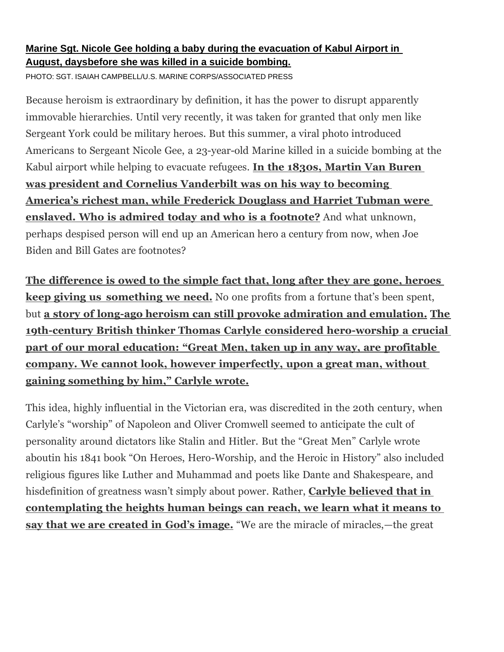### **Marine Sgt. Nicole Gee holding a baby during the evacuation of Kabul Airport in August, daysbefore she was killed in a suicide bombing.**

PHOTO: SGT. ISAIAH CAMPBELL/U.S. MARINE CORPS/ASSOCIATED PRESS

Because heroism is extraordinary by definition, it has the power to disrupt apparently immovable hierarchies. Until very recently, it was taken for granted that only men like Sergeant York could be military heroes. But this summer, a viral photo introduced Americans to Sergeant Nicole Gee, a 23-year-old Marine killed in a suicide bombing at the Kabul airport while helping to evacuate refugees. **In the 1830s, Martin Van Buren was president and Cornelius Vanderbilt was on his way to becoming America's richest man, while Frederick Douglass and Harriet Tubman were enslaved. Who is admired today and who is a footnote?** And what unknown, perhaps despised person will end up an American hero a century from now, when Joe Biden and Bill Gates are footnotes?

**The difference is owed to the simple fact that, long after they are gone, heroes keep giving us something we need.** No one profits from a fortune that's been spent, but **a story of long-ago heroism can still provoke admiration and emulation. The 19th-century British thinker Thomas Carlyle considered hero-worship a crucial part of our moral education: "Great Men, taken up in any way, are profitable company. We cannot look, however imperfectly, upon a great man, without gaining something by him," Carlyle wrote.**

This idea, highly influential in the Victorian era, was discredited in the 20th century, when Carlyle's "worship" of Napoleon and Oliver Cromwell seemed to anticipate the cult of personality around dictators like Stalin and Hitler. But the "Great Men" Carlyle wrote aboutin his 1841 book "On Heroes, Hero-Worship, and the Heroic in History" also included religious figures like Luther and Muhammad and poets like Dante and Shakespeare, and hisdefinition of greatness wasn't simply about power. Rather, **Carlyle believed that in contemplating the heights human beings can reach, we learn what it means to say that we are created in God's image.** "We are the miracle of miracles,—the great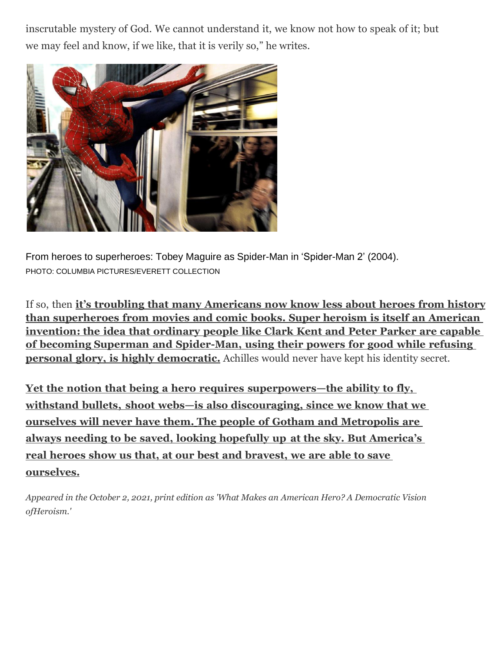inscrutable mystery of God. We cannot understand it, we know not how to speak of it; but we may feel and know, if we like, that it is verily so," he writes.



From heroes to superheroes: Tobey Maguire as Spider-Man in 'Spider-Man 2' (2004). PHOTO: COLUMBIA PICTURES/EVERETT COLLECTION

If so, then **it's troubling that many Americans now know less about heroes from history than superheroes from movies and comic books. Super heroism is itself an American invention: the idea that ordinary people like Clark Kent and Peter Parker are capable of becoming Superman and Spider-Man, using their powers for good while refusing personal glory, is highly democratic.** Achilles would never have kept his identity secret.

**Yet the notion that being a hero requires superpowers—the ability to fly, withstand bullets, shoot webs—is also discouraging, since we know that we ourselves will never have them. The people of Gotham and Metropolis are always needing to be saved, looking hopefully up at the sky. But America's real heroes show us that, at our best and bravest, we are able to save ourselves.**

*Appeared in the October 2, 2021, print edition as 'What Makes an American Hero? A Democratic Vision ofHeroism.'*